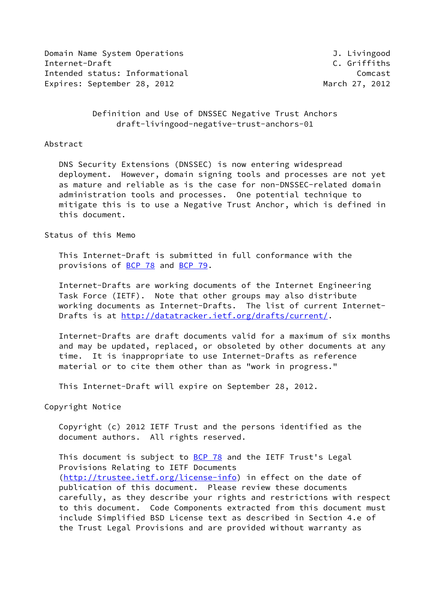Domain Name System Operations and the Communication of the University of the University of the University of the U Internet-Draft C. Griffiths Intended status: Informational Comcast Expires: September 28, 2012 March 27, 2012

 Definition and Use of DNSSEC Negative Trust Anchors draft-livingood-negative-trust-anchors-01

#### Abstract

 DNS Security Extensions (DNSSEC) is now entering widespread deployment. However, domain signing tools and processes are not yet as mature and reliable as is the case for non-DNSSEC-related domain administration tools and processes. One potential technique to mitigate this is to use a Negative Trust Anchor, which is defined in this document.

Status of this Memo

 This Internet-Draft is submitted in full conformance with the provisions of [BCP 78](https://datatracker.ietf.org/doc/pdf/bcp78) and [BCP 79](https://datatracker.ietf.org/doc/pdf/bcp79).

 Internet-Drafts are working documents of the Internet Engineering Task Force (IETF). Note that other groups may also distribute working documents as Internet-Drafts. The list of current Internet Drafts is at<http://datatracker.ietf.org/drafts/current/>.

 Internet-Drafts are draft documents valid for a maximum of six months and may be updated, replaced, or obsoleted by other documents at any time. It is inappropriate to use Internet-Drafts as reference material or to cite them other than as "work in progress."

This Internet-Draft will expire on September 28, 2012.

Copyright Notice

 Copyright (c) 2012 IETF Trust and the persons identified as the document authors. All rights reserved.

This document is subject to [BCP 78](https://datatracker.ietf.org/doc/pdf/bcp78) and the IETF Trust's Legal Provisions Relating to IETF Documents [\(http://trustee.ietf.org/license-info](http://trustee.ietf.org/license-info)) in effect on the date of publication of this document. Please review these documents carefully, as they describe your rights and restrictions with respect to this document. Code Components extracted from this document must include Simplified BSD License text as described in Section 4.e of the Trust Legal Provisions and are provided without warranty as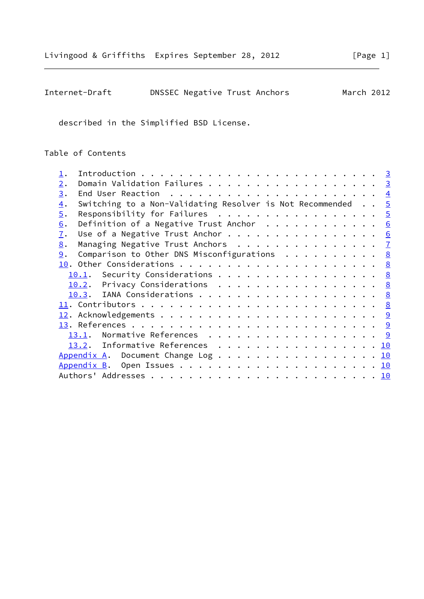| Internet-Draft | DNSSEC Negative Trust Anchors |  | March 2012 |
|----------------|-------------------------------|--|------------|
|----------------|-------------------------------|--|------------|

described in the Simplified BSD License.

Table of Contents

| 2.               | Domain Validation Failures 3                                         |  |
|------------------|----------------------------------------------------------------------|--|
| 3.               |                                                                      |  |
| $\overline{4}$ . | Switching to a Non-Validating Resolver is Not Recommended $\ldots$ 5 |  |
| 5.               | Responsibility for Failures 5                                        |  |
| 6.               | Definition of a Negative Trust Anchor $\cdots$ 6                     |  |
| $\overline{1}$ . | Use of a Negative Trust Anchor 6                                     |  |
| 8.               | Managing Negative Trust Anchors 7                                    |  |
| 9.               | Comparison to Other DNS Misconfigurations 8                          |  |
|                  |                                                                      |  |
|                  | <u>10.1</u> . Security Considerations 8                              |  |
|                  | 10.2. Privacy Considerations 8                                       |  |
|                  | 10.3. IANA Considerations 8                                          |  |
|                  |                                                                      |  |
|                  |                                                                      |  |
|                  |                                                                      |  |
|                  | Normative References 9<br>13.1.                                      |  |
|                  | 13.2. Informative References 10                                      |  |
|                  | Appendix A. Document Change Log 10                                   |  |
|                  |                                                                      |  |
|                  |                                                                      |  |
|                  |                                                                      |  |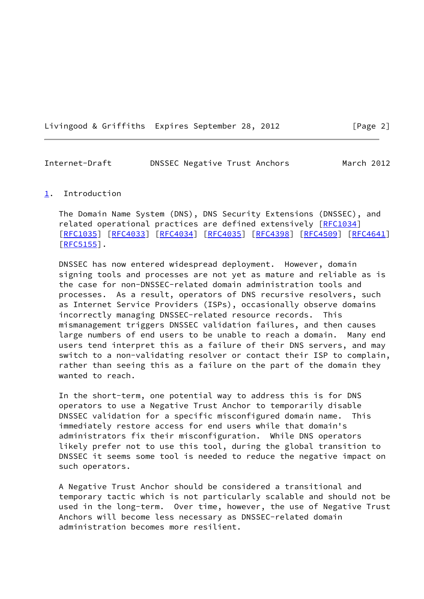Livingood & Griffiths Expires September 28, 2012 [Page 2]

<span id="page-2-1"></span>Internet-Draft DNSSEC Negative Trust Anchors March 2012

### <span id="page-2-0"></span>[1](#page-2-0). Introduction

 The Domain Name System (DNS), DNS Security Extensions (DNSSEC), and related operational practices are defined extensively [[RFC1034](https://datatracker.ietf.org/doc/pdf/rfc1034)] [\[RFC1035](https://datatracker.ietf.org/doc/pdf/rfc1035)] [[RFC4033](https://datatracker.ietf.org/doc/pdf/rfc4033)] [\[RFC4034](https://datatracker.ietf.org/doc/pdf/rfc4034)] [[RFC4035](https://datatracker.ietf.org/doc/pdf/rfc4035)] [\[RFC4398](https://datatracker.ietf.org/doc/pdf/rfc4398)] [[RFC4509](https://datatracker.ietf.org/doc/pdf/rfc4509)] [\[RFC4641](https://datatracker.ietf.org/doc/pdf/rfc4641)] [\[RFC5155](https://datatracker.ietf.org/doc/pdf/rfc5155)].

 DNSSEC has now entered widespread deployment. However, domain signing tools and processes are not yet as mature and reliable as is the case for non-DNSSEC-related domain administration tools and processes. As a result, operators of DNS recursive resolvers, such as Internet Service Providers (ISPs), occasionally observe domains incorrectly managing DNSSEC-related resource records. This mismanagement triggers DNSSEC validation failures, and then causes large numbers of end users to be unable to reach a domain. Many end users tend interpret this as a failure of their DNS servers, and may switch to a non-validating resolver or contact their ISP to complain, rather than seeing this as a failure on the part of the domain they wanted to reach.

 In the short-term, one potential way to address this is for DNS operators to use a Negative Trust Anchor to temporarily disable DNSSEC validation for a specific misconfigured domain name. This immediately restore access for end users while that domain's administrators fix their misconfiguration. While DNS operators likely prefer not to use this tool, during the global transition to DNSSEC it seems some tool is needed to reduce the negative impact on such operators.

 A Negative Trust Anchor should be considered a transitional and temporary tactic which is not particularly scalable and should not be used in the long-term. Over time, however, the use of Negative Trust Anchors will become less necessary as DNSSEC-related domain administration becomes more resilient.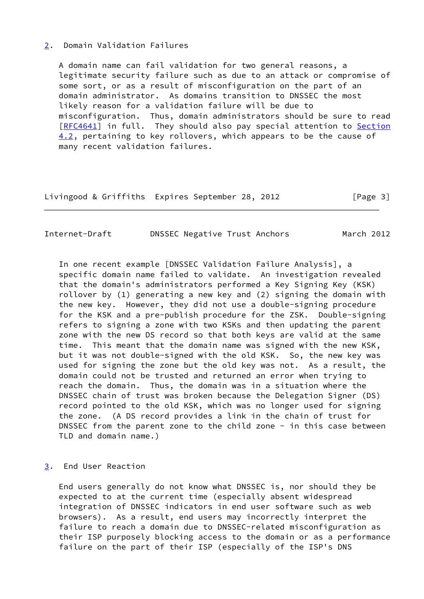### <span id="page-3-0"></span>[2](#page-3-0). Domain Validation Failures

 A domain name can fail validation for two general reasons, a legitimate security failure such as due to an attack or compromise of some sort, or as a result of misconfiguration on the part of an domain administrator. As domains transition to DNSSEC the most likely reason for a validation failure will be due to misconfiguration. Thus, domain administrators should be sure to read [\[RFC4641](https://datatracker.ietf.org/doc/pdf/rfc4641)] in full. They should also pay special attention to Section 4.2, pertaining to key rollovers, which appears to be the cause of many recent validation failures.

Livingood & Griffiths Expires September 28, 2012 [Page 3]

<span id="page-3-2"></span>Internet-Draft DNSSEC Negative Trust Anchors March 2012

 In one recent example [DNSSEC Validation Failure Analysis], a specific domain name failed to validate. An investigation revealed that the domain's administrators performed a Key Signing Key (KSK) rollover by (1) generating a new key and (2) signing the domain with the new key. However, they did not use a double-signing procedure for the KSK and a pre-publish procedure for the ZSK. Double-signing refers to signing a zone with two KSKs and then updating the parent zone with the new DS record so that both keys are valid at the same time. This meant that the domain name was signed with the new KSK, but it was not double-signed with the old KSK. So, the new key was used for signing the zone but the old key was not. As a result, the domain could not be trusted and returned an error when trying to reach the domain. Thus, the domain was in a situation where the DNSSEC chain of trust was broken because the Delegation Signer (DS) record pointed to the old KSK, which was no longer used for signing the zone. (A DS record provides a link in the chain of trust for DNSSEC from the parent zone to the child zone - in this case between TLD and domain name.)

<span id="page-3-1"></span>[3](#page-3-1). End User Reaction

 End users generally do not know what DNSSEC is, nor should they be expected to at the current time (especially absent widespread integration of DNSSEC indicators in end user software such as web browsers). As a result, end users may incorrectly interpret the failure to reach a domain due to DNSSEC-related misconfiguration as their ISP purposely blocking access to the domain or as a performance failure on the part of their ISP (especially of the ISP's DNS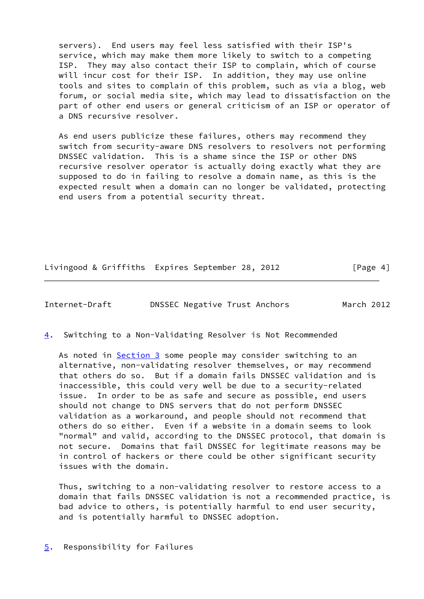servers). End users may feel less satisfied with their ISP's service, which may make them more likely to switch to a competing ISP. They may also contact their ISP to complain, which of course will incur cost for their ISP. In addition, they may use online tools and sites to complain of this problem, such as via a blog, web forum, or social media site, which may lead to dissatisfaction on the part of other end users or general criticism of an ISP or operator of a DNS recursive resolver.

 As end users publicize these failures, others may recommend they switch from security-aware DNS resolvers to resolvers not performing DNSSEC validation. This is a shame since the ISP or other DNS recursive resolver operator is actually doing exactly what they are supposed to do in failing to resolve a domain name, as this is the expected result when a domain can no longer be validated, protecting end users from a potential security threat.

Livingood & Griffiths Expires September 28, 2012 [Page 4]

<span id="page-4-1"></span>Internet-Draft DNSSEC Negative Trust Anchors March 2012

<span id="page-4-0"></span>[4](#page-4-0). Switching to a Non-Validating Resolver is Not Recommended

As noted in **Section 3** some people may consider switching to an alternative, non-validating resolver themselves, or may recommend that others do so. But if a domain fails DNSSEC validation and is inaccessible, this could very well be due to a security-related issue. In order to be as safe and secure as possible, end users should not change to DNS servers that do not perform DNSSEC validation as a workaround, and people should not recommend that others do so either. Even if a website in a domain seems to look "normal" and valid, according to the DNSSEC protocol, that domain is not secure. Domains that fail DNSSEC for legitimate reasons may be in control of hackers or there could be other significant security issues with the domain.

 Thus, switching to a non-validating resolver to restore access to a domain that fails DNSSEC validation is not a recommended practice, is bad advice to others, is potentially harmful to end user security, and is potentially harmful to DNSSEC adoption.

<span id="page-4-2"></span>[5](#page-4-2). Responsibility for Failures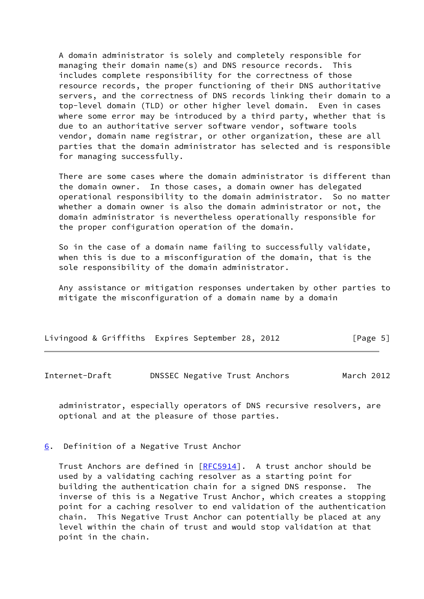A domain administrator is solely and completely responsible for managing their domain name(s) and DNS resource records. This includes complete responsibility for the correctness of those resource records, the proper functioning of their DNS authoritative servers, and the correctness of DNS records linking their domain to a top-level domain (TLD) or other higher level domain. Even in cases where some error may be introduced by a third party, whether that is due to an authoritative server software vendor, software tools vendor, domain name registrar, or other organization, these are all parties that the domain administrator has selected and is responsible for managing successfully.

 There are some cases where the domain administrator is different than the domain owner. In those cases, a domain owner has delegated operational responsibility to the domain administrator. So no matter whether a domain owner is also the domain administrator or not, the domain administrator is nevertheless operationally responsible for the proper configuration operation of the domain.

 So in the case of a domain name failing to successfully validate, when this is due to a misconfiguration of the domain, that is the sole responsibility of the domain administrator.

 Any assistance or mitigation responses undertaken by other parties to mitigate the misconfiguration of a domain name by a domain

| Livingood & Griffiths Expires September 28, 2012 |  |  |  |  | [Page 5] |  |
|--------------------------------------------------|--|--|--|--|----------|--|
|--------------------------------------------------|--|--|--|--|----------|--|

<span id="page-5-1"></span>Internet-Draft DNSSEC Negative Trust Anchors March 2012

 administrator, especially operators of DNS recursive resolvers, are optional and at the pleasure of those parties.

<span id="page-5-0"></span>[6](#page-5-0). Definition of a Negative Trust Anchor

 Trust Anchors are defined in [\[RFC5914](https://datatracker.ietf.org/doc/pdf/rfc5914)]. A trust anchor should be used by a validating caching resolver as a starting point for building the authentication chain for a signed DNS response. The inverse of this is a Negative Trust Anchor, which creates a stopping point for a caching resolver to end validation of the authentication chain. This Negative Trust Anchor can potentially be placed at any level within the chain of trust and would stop validation at that point in the chain.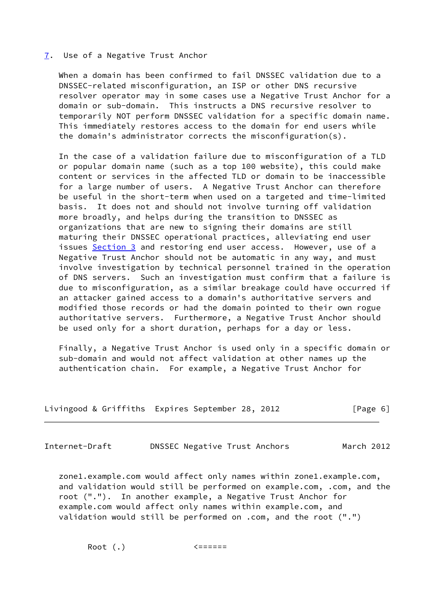#### <span id="page-6-0"></span>[7](#page-6-0). Use of a Negative Trust Anchor

 When a domain has been confirmed to fail DNSSEC validation due to a DNSSEC-related misconfiguration, an ISP or other DNS recursive resolver operator may in some cases use a Negative Trust Anchor for a domain or sub-domain. This instructs a DNS recursive resolver to temporarily NOT perform DNSSEC validation for a specific domain name. This immediately restores access to the domain for end users while the domain's administrator corrects the misconfiguration(s).

 In the case of a validation failure due to misconfiguration of a TLD or popular domain name (such as a top 100 website), this could make content or services in the affected TLD or domain to be inaccessible for a large number of users. A Negative Trust Anchor can therefore be useful in the short-term when used on a targeted and time-limited basis. It does not and should not involve turning off validation more broadly, and helps during the transition to DNSSEC as organizations that are new to signing their domains are still maturing their DNSSEC operational practices, alleviating end user issues [Section 3](#page-3-1) and restoring end user access. However, use of a Negative Trust Anchor should not be automatic in any way, and must involve investigation by technical personnel trained in the operation of DNS servers. Such an investigation must confirm that a failure is due to misconfiguration, as a similar breakage could have occurred if an attacker gained access to a domain's authoritative servers and modified those records or had the domain pointed to their own rogue authoritative servers. Furthermore, a Negative Trust Anchor should be used only for a short duration, perhaps for a day or less.

 Finally, a Negative Trust Anchor is used only in a specific domain or sub-domain and would not affect validation at other names up the authentication chain. For example, a Negative Trust Anchor for

| Livingood & Griffiths Expires September 28, 2012 |  |  | [Page 6] |
|--------------------------------------------------|--|--|----------|
|--------------------------------------------------|--|--|----------|

<span id="page-6-1"></span>Internet-Draft DNSSEC Negative Trust Anchors March 2012

 zone1.example.com would affect only names within zone1.example.com, and validation would still be performed on example.com, .com, and the root ("."). In another example, a Negative Trust Anchor for example.com would affect only names within example.com, and validation would still be performed on .com, and the root (".")

Root (.) <======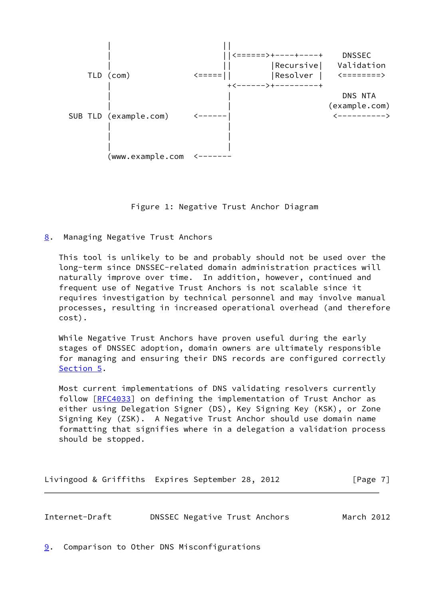

Figure 1: Negative Trust Anchor Diagram

<span id="page-7-0"></span>[8](#page-7-0). Managing Negative Trust Anchors

 This tool is unlikely to be and probably should not be used over the long-term since DNSSEC-related domain administration practices will naturally improve over time. In addition, however, continued and frequent use of Negative Trust Anchors is not scalable since it requires investigation by technical personnel and may involve manual processes, resulting in increased operational overhead (and therefore cost).

 While Negative Trust Anchors have proven useful during the early stages of DNSSEC adoption, domain owners are ultimately responsible for managing and ensuring their DNS records are configured correctly [Section 5](#page-4-2).

 Most current implementations of DNS validating resolvers currently follow [\[RFC4033](https://datatracker.ietf.org/doc/pdf/rfc4033)] on defining the implementation of Trust Anchor as either using Delegation Signer (DS), Key Signing Key (KSK), or Zone Signing Key (ZSK). A Negative Trust Anchor should use domain name formatting that signifies where in a delegation a validation process should be stopped.

|  | Livingood & Griffiths Expires September 28, 2012 |  |  |  |  | [Page 7] |
|--|--------------------------------------------------|--|--|--|--|----------|
|--|--------------------------------------------------|--|--|--|--|----------|

<span id="page-7-2"></span>Internet-Draft DNSSEC Negative Trust Anchors March 2012

<span id="page-7-1"></span>[9](#page-7-1). Comparison to Other DNS Misconfigurations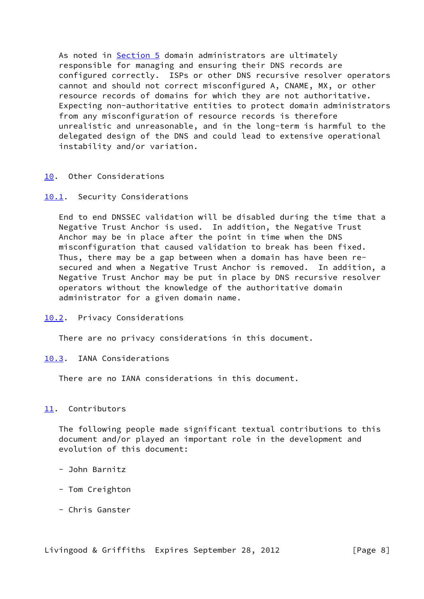As noted in [Section 5](#page-4-2) domain administrators are ultimately responsible for managing and ensuring their DNS records are configured correctly. ISPs or other DNS recursive resolver operators cannot and should not correct misconfigured A, CNAME, MX, or other resource records of domains for which they are not authoritative. Expecting non-authoritative entities to protect domain administrators from any misconfiguration of resource records is therefore unrealistic and unreasonable, and in the long-term is harmful to the delegated design of the DNS and could lead to extensive operational instability and/or variation.

# <span id="page-8-0"></span>[10.](#page-8-0) Other Considerations

# <span id="page-8-1"></span>[10.1](#page-8-1). Security Considerations

 End to end DNSSEC validation will be disabled during the time that a Negative Trust Anchor is used. In addition, the Negative Trust Anchor may be in place after the point in time when the DNS misconfiguration that caused validation to break has been fixed. Thus, there may be a gap between when a domain has have been re secured and when a Negative Trust Anchor is removed. In addition, a Negative Trust Anchor may be put in place by DNS recursive resolver operators without the knowledge of the authoritative domain administrator for a given domain name.

## <span id="page-8-2"></span>[10.2](#page-8-2). Privacy Considerations

There are no privacy considerations in this document.

# <span id="page-8-3"></span>[10.3](#page-8-3). IANA Considerations

There are no IANA considerations in this document.

# <span id="page-8-4"></span>[11.](#page-8-4) Contributors

 The following people made significant textual contributions to this document and/or played an important role in the development and evolution of this document:

- John Barnitz
- Tom Creighton
- Chris Ganster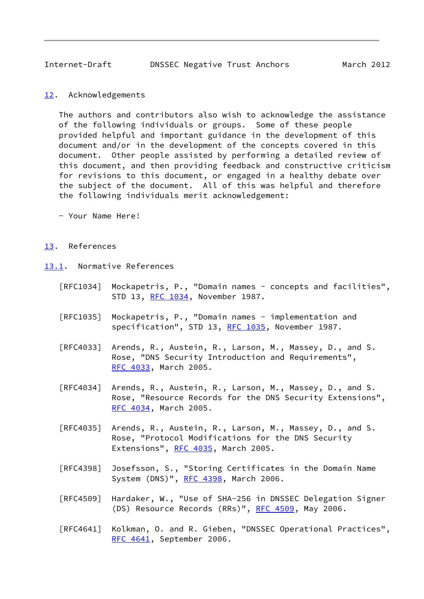<span id="page-9-1"></span>Internet-Draft DNSSEC Negative Trust Anchors March 2012

<span id="page-9-0"></span>[12.](#page-9-0) Acknowledgements

 The authors and contributors also wish to acknowledge the assistance of the following individuals or groups. Some of these people provided helpful and important guidance in the development of this document and/or in the development of the concepts covered in this document. Other people assisted by performing a detailed review of this document, and then providing feedback and constructive criticism for revisions to this document, or engaged in a healthy debate over the subject of the document. All of this was helpful and therefore the following individuals merit acknowledgement:

- Your Name Here!

# <span id="page-9-2"></span>[13.](#page-9-2) References

<span id="page-9-3"></span>[13.1](#page-9-3). Normative References

- [RFC1034] Mockapetris, P., "Domain names concepts and facilities", STD 13, [RFC 1034,](https://datatracker.ietf.org/doc/pdf/rfc1034) November 1987.
- [RFC1035] Mockapetris, P., "Domain names implementation and specification", STD 13, [RFC 1035,](https://datatracker.ietf.org/doc/pdf/rfc1035) November 1987.
- [RFC4033] Arends, R., Austein, R., Larson, M., Massey, D., and S. Rose, "DNS Security Introduction and Requirements", [RFC 4033,](https://datatracker.ietf.org/doc/pdf/rfc4033) March 2005.
- [RFC4034] Arends, R., Austein, R., Larson, M., Massey, D., and S. Rose, "Resource Records for the DNS Security Extensions", [RFC 4034,](https://datatracker.ietf.org/doc/pdf/rfc4034) March 2005.
- [RFC4035] Arends, R., Austein, R., Larson, M., Massey, D., and S. Rose, "Protocol Modifications for the DNS Security Extensions", [RFC 4035](https://datatracker.ietf.org/doc/pdf/rfc4035), March 2005.
- [RFC4398] Josefsson, S., "Storing Certificates in the Domain Name System (DNS)", [RFC 4398](https://datatracker.ietf.org/doc/pdf/rfc4398), March 2006.
- [RFC4509] Hardaker, W., "Use of SHA-256 in DNSSEC Delegation Signer (DS) Resource Records (RRs)", [RFC 4509](https://datatracker.ietf.org/doc/pdf/rfc4509), May 2006.
- [RFC4641] Kolkman, O. and R. Gieben, "DNSSEC Operational Practices", [RFC 4641,](https://datatracker.ietf.org/doc/pdf/rfc4641) September 2006.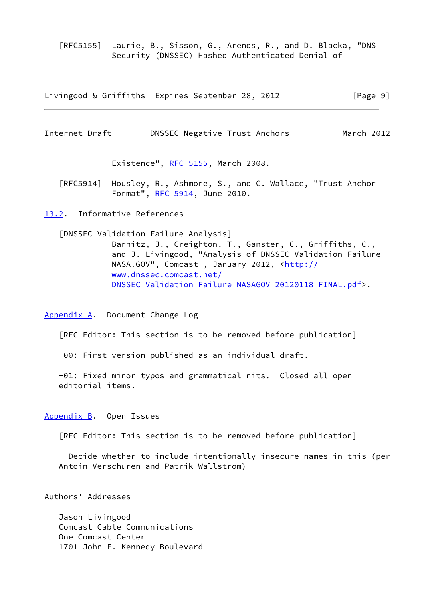[RFC5155] Laurie, B., Sisson, G., Arends, R., and D. Blacka, "DNS Security (DNSSEC) Hashed Authenticated Denial of

Livingood & Griffiths Expires September 28, 2012 [Page 9]

<span id="page-10-1"></span>Internet-Draft DNSSEC Negative Trust Anchors March 2012

Existence", [RFC 5155,](https://datatracker.ietf.org/doc/pdf/rfc5155) March 2008.

 [RFC5914] Housley, R., Ashmore, S., and C. Wallace, "Trust Anchor Format", [RFC 5914,](https://datatracker.ietf.org/doc/pdf/rfc5914) June 2010.

<span id="page-10-0"></span>[13.2](#page-10-0). Informative References

 [DNSSEC Validation Failure Analysis] Barnitz, J., Creighton, T., Ganster, C., Griffiths, C., and J. Livingood, "Analysis of DNSSEC Validation Failure NASA.GOV", Comcast, January 2012, <[http://](http://www.dnssec.comcast.net/DNSSEC_Validation_Failure_NASAGOV_20120118_FINAL.pdf) [www.dnssec.comcast.net/](http://www.dnssec.comcast.net/DNSSEC_Validation_Failure_NASAGOV_20120118_FINAL.pdf) DNSSEC Validation Failure NASAGOV 20120118 FINAL.pdf>.

<span id="page-10-2"></span>[Appendix A.](#page-10-2) Document Change Log

[RFC Editor: This section is to be removed before publication]

-00: First version published as an individual draft.

 -01: Fixed minor typos and grammatical nits. Closed all open editorial items.

<span id="page-10-3"></span>[Appendix B.](#page-10-3) Open Issues

[RFC Editor: This section is to be removed before publication]

 - Decide whether to include intentionally insecure names in this (per Antoin Verschuren and Patrik Wallstrom)

Authors' Addresses

 Jason Livingood Comcast Cable Communications One Comcast Center 1701 John F. Kennedy Boulevard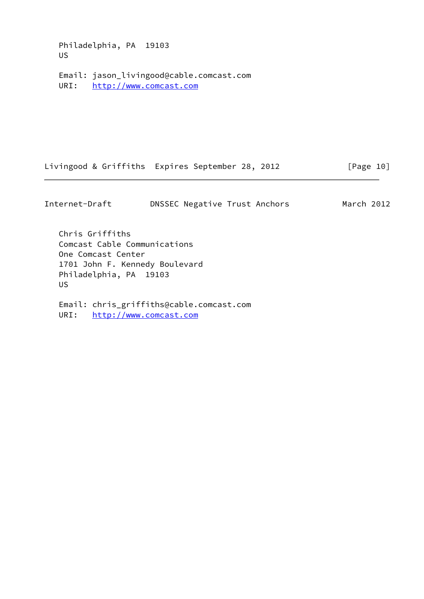Philadelphia, PA 19103 US

 Email: jason\_livingood@cable.comcast.com URI: <http://www.comcast.com>

Livingood & Griffiths Expires September 28, 2012 [Page 10]

Internet-Draft DNSSEC Negative Trust Anchors March 2012

 Chris Griffiths Comcast Cable Communications One Comcast Center 1701 John F. Kennedy Boulevard Philadelphia, PA 19103 US

 Email: chris\_griffiths@cable.comcast.com URI: <http://www.comcast.com>